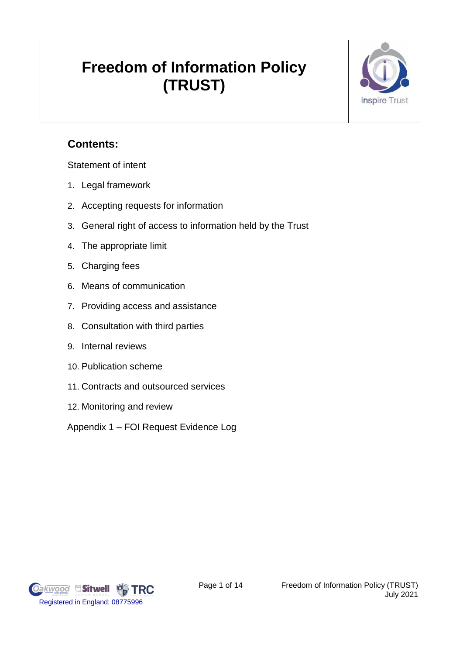# **Freedom of Information Policy (TRUST)**



# **Contents:**

Statement of intent

- 1. Legal framework
- 2. Accepting requests for information
- 3. General right of access to information held by the Trust
- 4. The appropriate limit
- 5. Charging fees
- 6. Means of communication
- 7. Providing access and assistance
- 8. Consultation with third parties
- 9. Internal reviews
- 10. Publication scheme
- 11. Contracts and outsourced services
- 12. Monitoring and review

Appendix 1 – FOI Request Evidence Log

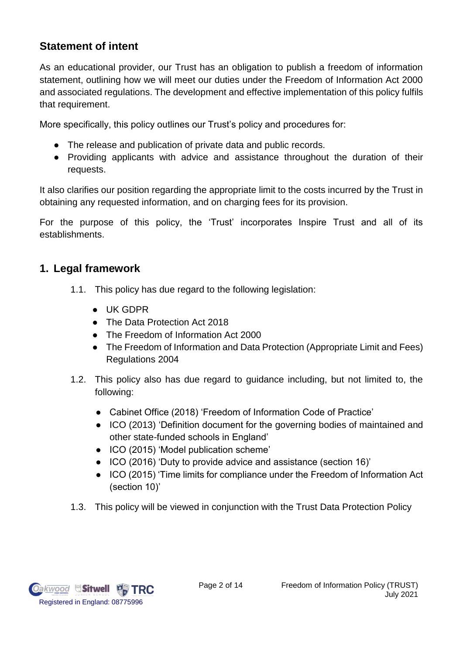## **Statement of intent**

As an educational provider, our Trust has an obligation to publish a freedom of information statement, outlining how we will meet our duties under the Freedom of Information Act 2000 and associated regulations. The development and effective implementation of this policy fulfils that requirement.

More specifically, this policy outlines our Trust's policy and procedures for:

- The release and publication of private data and public records.
- Providing applicants with advice and assistance throughout the duration of their requests.

It also clarifies our position regarding the appropriate limit to the costs incurred by the Trust in obtaining any requested information, and on charging fees for its provision.

For the purpose of this policy, the 'Trust' incorporates Inspire Trust and all of its establishments.

## **1. Legal framework**

- 1.1. This policy has due regard to the following legislation:
	- UK GDPR
	- The Data Protection Act 2018
	- The Freedom of Information Act 2000
	- The Freedom of Information and Data Protection (Appropriate Limit and Fees) Regulations 2004
- 1.2. This policy also has due regard to guidance including, but not limited to, the following:
	- Cabinet Office (2018) 'Freedom of Information Code of Practice'
	- ICO (2013) 'Definition document for the governing bodies of maintained and other state-funded schools in England'
	- ICO (2015) 'Model publication scheme'
	- ICO (2016) 'Duty to provide advice and assistance (section 16)'
	- ICO (2015) 'Time limits for compliance under the Freedom of Information Act (section 10)'
- 1.3. This policy will be viewed in conjunction with the Trust Data Protection Policy

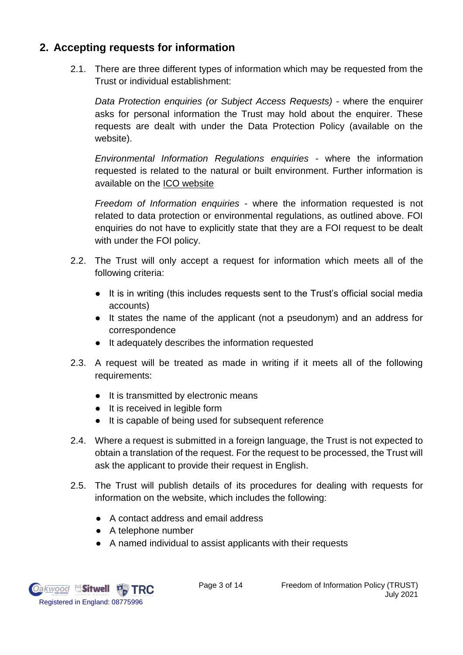## **2. Accepting requests for information**

2.1. There are three different types of information which may be requested from the Trust or individual establishment:

*Data Protection enquiries (or Subject Access Requests)* - where the enquirer asks for personal information the Trust may hold about the enquirer. These requests are dealt with under the Data Protection Policy (available on the website).

*Environmental Information Regulations enquiries* - where the information requested is related to the natural or built environment. Further information is available on the [ICO website](https://ico.org.uk/)

*Freedom of Information enquiries* - where the information requested is not related to data protection or environmental regulations, as outlined above. FOI enquiries do not have to explicitly state that they are a FOI request to be dealt with under the FOI policy.

- 2.2. The Trust will only accept a request for information which meets all of the following criteria:
	- It is in writing (this includes requests sent to the Trust's official social media accounts)
	- It states the name of the applicant (not a pseudonym) and an address for correspondence
	- It adequately describes the information requested
- 2.3. A request will be treated as made in writing if it meets all of the following requirements:
	- It is transmitted by electronic means
	- It is received in legible form
	- It is capable of being used for subsequent reference
- 2.4. Where a request is submitted in a foreign language, the Trust is not expected to obtain a translation of the request. For the request to be processed, the Trust will ask the applicant to provide their request in English.
- 2.5. The Trust will publish details of its procedures for dealing with requests for information on the website, which includes the following:
	- A contact address and email address
	- A telephone number
	- A named individual to assist applicants with their requests

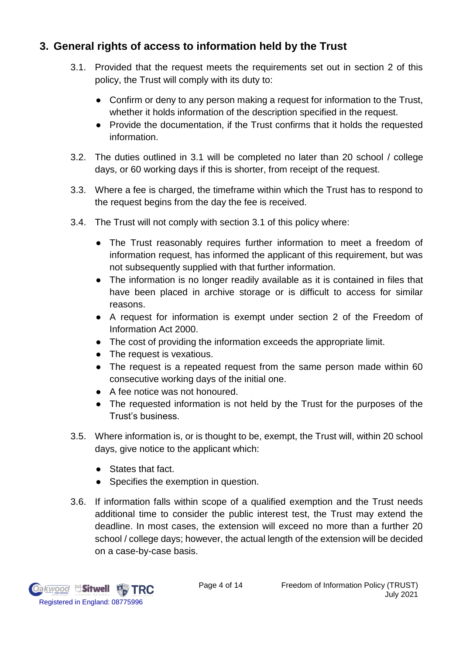## **3. General rights of access to information held by the Trust**

- 3.1. Provided that the request meets the requirements set out in section 2 of this policy, the Trust will comply with its duty to:
	- Confirm or deny to any person making a request for information to the Trust, whether it holds information of the description specified in the request.
	- Provide the documentation, if the Trust confirms that it holds the requested information.
- 3.2. The duties outlined in 3.1 will be completed no later than 20 school / college days, or 60 working days if this is shorter, from receipt of the request.
- 3.3. Where a fee is charged, the timeframe within which the Trust has to respond to the request begins from the day the fee is received.
- 3.4. The Trust will not comply with section 3.1 of this policy where:
	- The Trust reasonably requires further information to meet a freedom of information request, has informed the applicant of this requirement, but was not subsequently supplied with that further information.
	- The information is no longer readily available as it is contained in files that have been placed in archive storage or is difficult to access for similar reasons.
	- A request for information is exempt under section 2 of the Freedom of Information Act 2000.
	- The cost of providing the information exceeds the appropriate limit.
	- The request is vexatious.
	- The request is a repeated request from the same person made within 60 consecutive working days of the initial one.
	- A fee notice was not honoured.
	- The requested information is not held by the Trust for the purposes of the Trust's business.
- 3.5. Where information is, or is thought to be, exempt, the Trust will, within 20 school days, give notice to the applicant which:
	- States that fact.
	- Specifies the exemption in question.
- 3.6. If information falls within scope of a qualified exemption and the Trust needs additional time to consider the public interest test, the Trust may extend the deadline. In most cases, the extension will exceed no more than a further 20 school / college days; however, the actual length of the extension will be decided on a case-by-case basis.

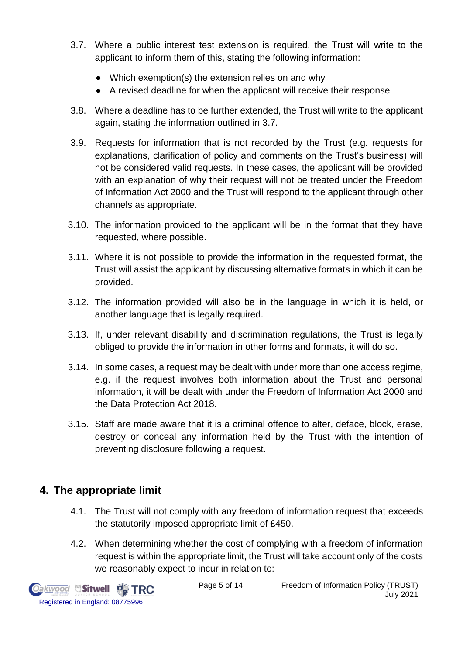- 3.7. Where a public interest test extension is required, the Trust will write to the applicant to inform them of this, stating the following information:
	- Which exemption(s) the extension relies on and why
	- A revised deadline for when the applicant will receive their response
- 3.8. Where a deadline has to be further extended, the Trust will write to the applicant again, stating the information outlined in 3.7.
- 3.9. Requests for information that is not recorded by the Trust (e.g. requests for explanations, clarification of policy and comments on the Trust's business) will not be considered valid requests. In these cases, the applicant will be provided with an explanation of why their request will not be treated under the Freedom of Information Act 2000 and the Trust will respond to the applicant through other channels as appropriate.
- 3.10. The information provided to the applicant will be in the format that they have requested, where possible.
- 3.11. Where it is not possible to provide the information in the requested format, the Trust will assist the applicant by discussing alternative formats in which it can be provided.
- 3.12. The information provided will also be in the language in which it is held, or another language that is legally required.
- 3.13. If, under relevant disability and discrimination regulations, the Trust is legally obliged to provide the information in other forms and formats, it will do so.
- 3.14. In some cases, a request may be dealt with under more than one access regime, e.g. if the request involves both information about the Trust and personal information, it will be dealt with under the Freedom of Information Act 2000 and the Data Protection Act 2018.
- 3.15. Staff are made aware that it is a criminal offence to alter, deface, block, erase, destroy or conceal any information held by the Trust with the intention of preventing disclosure following a request.

## **4. The appropriate limit**

- 4.1. The Trust will not comply with any freedom of information request that exceeds the statutorily imposed appropriate limit of £450.
- 4.2. When determining whether the cost of complying with a freedom of information request is within the appropriate limit, the Trust will take account only of the costs we reasonably expect to incur in relation to:

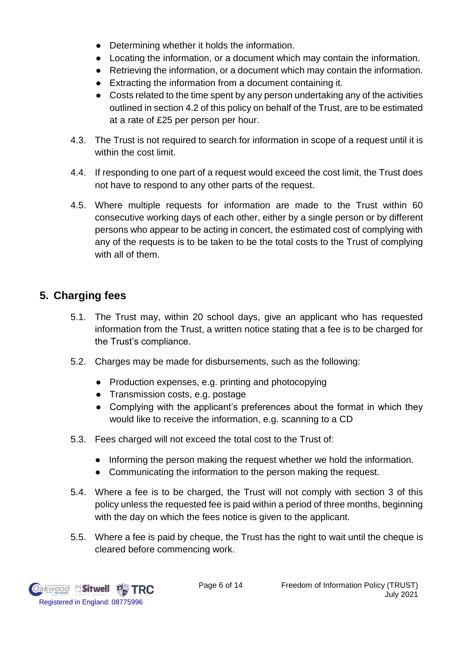- Determining whether it holds the information.
- Locating the information, or a document which may contain the information.
- Retrieving the information, or a document which may contain the information.
- Extracting the information from a document containing it.
- Costs related to the time spent by any person undertaking any of the activities outlined in section 4.2 of this policy on behalf of the Trust, are to be estimated at a rate of £25 per person per hour.
- 4.3. The Trust is not required to search for information in scope of a request until it is within the cost limit.
- 4.4. If responding to one part of a request would exceed the cost limit, the Trust does not have to respond to any other parts of the request.
- 4.5. Where multiple requests for information are made to the Trust within 60 consecutive working days of each other, either by a single person or by different persons who appear to be acting in concert, the estimated cost of complying with any of the requests is to be taken to be the total costs to the Trust of complying with all of them.

## **5. Charging fees**

- 5.1. The Trust may, within 20 school days, give an applicant who has requested information from the Trust, a written notice stating that a fee is to be charged for the Trust's compliance.
- 5.2. Charges may be made for disbursements, such as the following:
	- Production expenses, e.g. printing and photocopying
	- Transmission costs, e.g. postage
	- Complying with the applicant's preferences about the format in which they would like to receive the information, e.g. scanning to a CD
- 5.3. Fees charged will not exceed the total cost to the Trust of:
	- Informing the person making the request whether we hold the information.
	- Communicating the information to the person making the request.
- 5.4. Where a fee is to be charged, the Trust will not comply with section 3 of this policy unless the requested fee is paid within a period of three months, beginning with the day on which the fees notice is given to the applicant.
- 5.5. Where a fee is paid by cheque, the Trust has the right to wait until the cheque is cleared before commencing work.

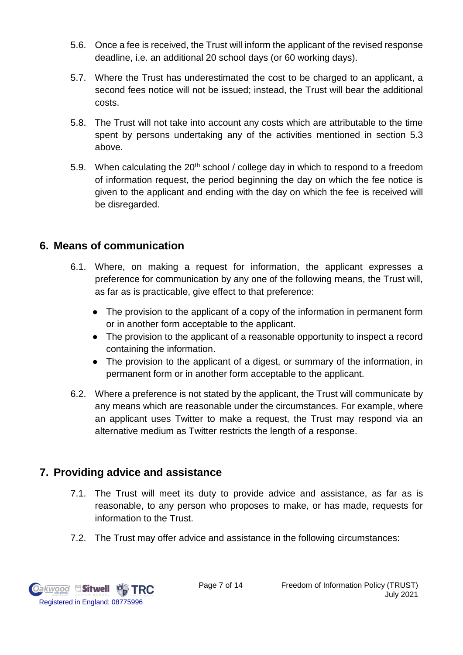- 5.6. Once a fee is received, the Trust will inform the applicant of the revised response deadline, i.e. an additional 20 school days (or 60 working days).
- 5.7. Where the Trust has underestimated the cost to be charged to an applicant, a second fees notice will not be issued; instead, the Trust will bear the additional costs.
- 5.8. The Trust will not take into account any costs which are attributable to the time spent by persons undertaking any of the activities mentioned in section 5.3 above.
- 5.9. When calculating the  $20<sup>th</sup>$  school / college day in which to respond to a freedom of information request, the period beginning the day on which the fee notice is given to the applicant and ending with the day on which the fee is received will be disregarded.

## **6. Means of communication**

- 6.1. Where, on making a request for information, the applicant expresses a preference for communication by any one of the following means, the Trust will, as far as is practicable, give effect to that preference:
	- The provision to the applicant of a copy of the information in permanent form or in another form acceptable to the applicant.
	- The provision to the applicant of a reasonable opportunity to inspect a record containing the information.
	- The provision to the applicant of a digest, or summary of the information, in permanent form or in another form acceptable to the applicant.
- 6.2. Where a preference is not stated by the applicant, the Trust will communicate by any means which are reasonable under the circumstances. For example, where an applicant uses Twitter to make a request, the Trust may respond via an alternative medium as Twitter restricts the length of a response.

## **7. Providing advice and assistance**

- 7.1. The Trust will meet its duty to provide advice and assistance, as far as is reasonable, to any person who proposes to make, or has made, requests for information to the Trust.
- 7.2. The Trust may offer advice and assistance in the following circumstances:

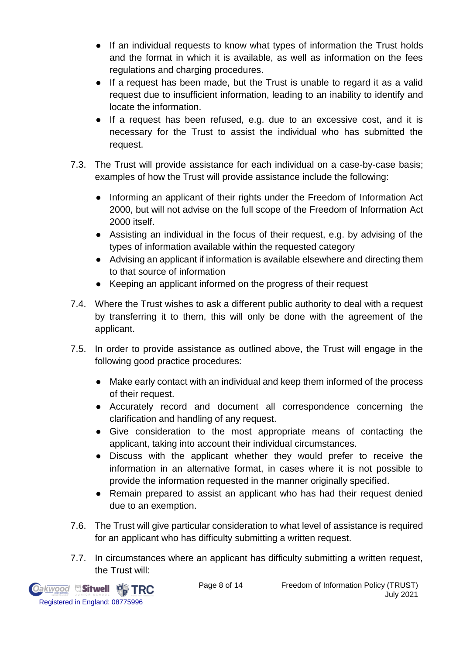- If an individual requests to know what types of information the Trust holds and the format in which it is available, as well as information on the fees regulations and charging procedures.
- If a request has been made, but the Trust is unable to regard it as a valid request due to insufficient information, leading to an inability to identify and locate the information.
- If a request has been refused, e.g. due to an excessive cost, and it is necessary for the Trust to assist the individual who has submitted the request.
- 7.3. The Trust will provide assistance for each individual on a case-by-case basis; examples of how the Trust will provide assistance include the following:
	- Informing an applicant of their rights under the Freedom of Information Act 2000, but will not advise on the full scope of the Freedom of Information Act 2000 itself.
	- Assisting an individual in the focus of their request, e.g. by advising of the types of information available within the requested category
	- Advising an applicant if information is available elsewhere and directing them to that source of information
	- Keeping an applicant informed on the progress of their request
- 7.4. Where the Trust wishes to ask a different public authority to deal with a request by transferring it to them, this will only be done with the agreement of the applicant.
- 7.5. In order to provide assistance as outlined above, the Trust will engage in the following good practice procedures:
	- Make early contact with an individual and keep them informed of the process of their request.
	- Accurately record and document all correspondence concerning the clarification and handling of any request.
	- Give consideration to the most appropriate means of contacting the applicant, taking into account their individual circumstances.
	- Discuss with the applicant whether they would prefer to receive the information in an alternative format, in cases where it is not possible to provide the information requested in the manner originally specified.
	- Remain prepared to assist an applicant who has had their request denied due to an exemption.
- 7.6. The Trust will give particular consideration to what level of assistance is required for an applicant who has difficulty submitting a written request.
- 7.7. In circumstances where an applicant has difficulty submitting a written request, the Trust will:

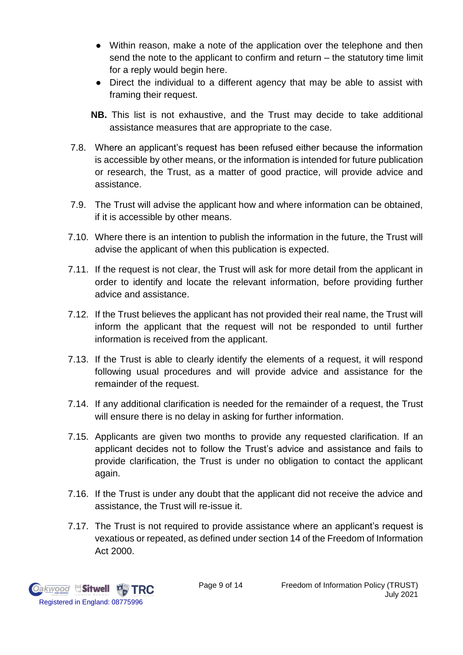- Within reason, make a note of the application over the telephone and then send the note to the applicant to confirm and return – the statutory time limit for a reply would begin here.
- Direct the individual to a different agency that may be able to assist with framing their request.
- **NB.** This list is not exhaustive, and the Trust may decide to take additional assistance measures that are appropriate to the case.
- 7.8. Where an applicant's request has been refused either because the information is accessible by other means, or the information is intended for future publication or research, the Trust, as a matter of good practice, will provide advice and assistance.
- 7.9. The Trust will advise the applicant how and where information can be obtained, if it is accessible by other means.
- 7.10. Where there is an intention to publish the information in the future, the Trust will advise the applicant of when this publication is expected.
- 7.11. If the request is not clear, the Trust will ask for more detail from the applicant in order to identify and locate the relevant information, before providing further advice and assistance.
- 7.12. If the Trust believes the applicant has not provided their real name, the Trust will inform the applicant that the request will not be responded to until further information is received from the applicant.
- 7.13. If the Trust is able to clearly identify the elements of a request, it will respond following usual procedures and will provide advice and assistance for the remainder of the request.
- 7.14. If any additional clarification is needed for the remainder of a request, the Trust will ensure there is no delay in asking for further information.
- 7.15. Applicants are given two months to provide any requested clarification. If an applicant decides not to follow the Trust's advice and assistance and fails to provide clarification, the Trust is under no obligation to contact the applicant again.
- 7.16. If the Trust is under any doubt that the applicant did not receive the advice and assistance, the Trust will re-issue it.
- 7.17. The Trust is not required to provide assistance where an applicant's request is vexatious or repeated, as defined under section 14 of the Freedom of Information Act 2000.

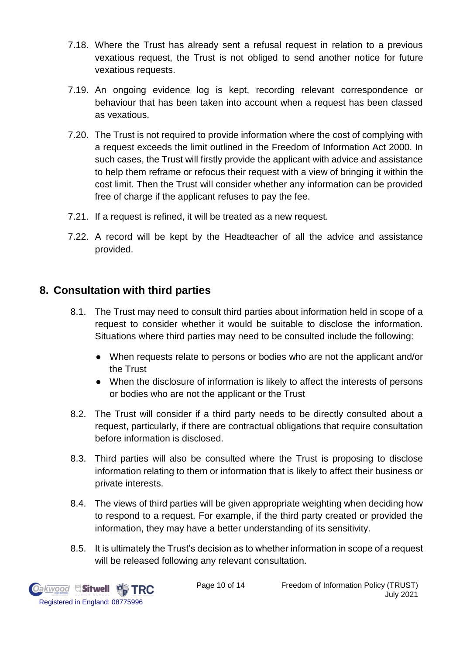- 7.18. Where the Trust has already sent a refusal request in relation to a previous vexatious request, the Trust is not obliged to send another notice for future vexatious requests.
- 7.19. An ongoing evidence log is kept, recording relevant correspondence or behaviour that has been taken into account when a request has been classed as vexatious.
- 7.20. The Trust is not required to provide information where the cost of complying with a request exceeds the limit outlined in the Freedom of Information Act 2000. In such cases, the Trust will firstly provide the applicant with advice and assistance to help them reframe or refocus their request with a view of bringing it within the cost limit. Then the Trust will consider whether any information can be provided free of charge if the applicant refuses to pay the fee.
- 7.21. If a request is refined, it will be treated as a new request.
- 7.22. A record will be kept by the Headteacher of all the advice and assistance provided.

#### **8. Consultation with third parties**

- 8.1. The Trust may need to consult third parties about information held in scope of a request to consider whether it would be suitable to disclose the information. Situations where third parties may need to be consulted include the following:
	- When requests relate to persons or bodies who are not the applicant and/or the Trust
	- When the disclosure of information is likely to affect the interests of persons or bodies who are not the applicant or the Trust
- 8.2. The Trust will consider if a third party needs to be directly consulted about a request, particularly, if there are contractual obligations that require consultation before information is disclosed.
- 8.3. Third parties will also be consulted where the Trust is proposing to disclose information relating to them or information that is likely to affect their business or private interests.
- 8.4. The views of third parties will be given appropriate weighting when deciding how to respond to a request. For example, if the third party created or provided the information, they may have a better understanding of its sensitivity.
- 8.5. It is ultimately the Trust's decision as to whether information in scope of a request will be released following any relevant consultation.

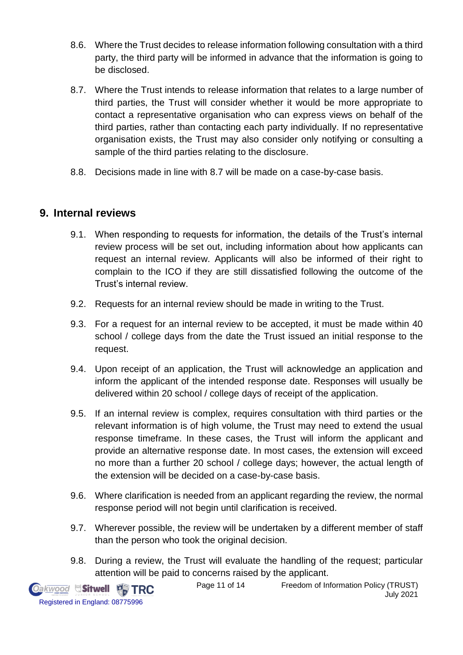- 8.6. Where the Trust decides to release information following consultation with a third party, the third party will be informed in advance that the information is going to be disclosed.
- 8.7. Where the Trust intends to release information that relates to a large number of third parties, the Trust will consider whether it would be more appropriate to contact a representative organisation who can express views on behalf of the third parties, rather than contacting each party individually. If no representative organisation exists, the Trust may also consider only notifying or consulting a sample of the third parties relating to the disclosure.
- 8.8. Decisions made in line with 8.7 will be made on a case-by-case basis.

#### **9. Internal reviews**

- 9.1. When responding to requests for information, the details of the Trust's internal review process will be set out, including information about how applicants can request an internal review. Applicants will also be informed of their right to complain to the ICO if they are still dissatisfied following the outcome of the Trust's internal review.
- 9.2. Requests for an internal review should be made in writing to the Trust.
- 9.3. For a request for an internal review to be accepted, it must be made within 40 school / college days from the date the Trust issued an initial response to the request.
- 9.4. Upon receipt of an application, the Trust will acknowledge an application and inform the applicant of the intended response date. Responses will usually be delivered within 20 school / college days of receipt of the application.
- 9.5. If an internal review is complex, requires consultation with third parties or the relevant information is of high volume, the Trust may need to extend the usual response timeframe. In these cases, the Trust will inform the applicant and provide an alternative response date. In most cases, the extension will exceed no more than a further 20 school / college days; however, the actual length of the extension will be decided on a case-by-case basis.
- 9.6. Where clarification is needed from an applicant regarding the review, the normal response period will not begin until clarification is received.
- 9.7. Wherever possible, the review will be undertaken by a different member of staff than the person who took the original decision.
- 9.8. During a review, the Trust will evaluate the handling of the request; particular attention will be paid to concerns raised by the applicant.



Page 11 of 14 Freedom of Information Policy (TRUST) July 2021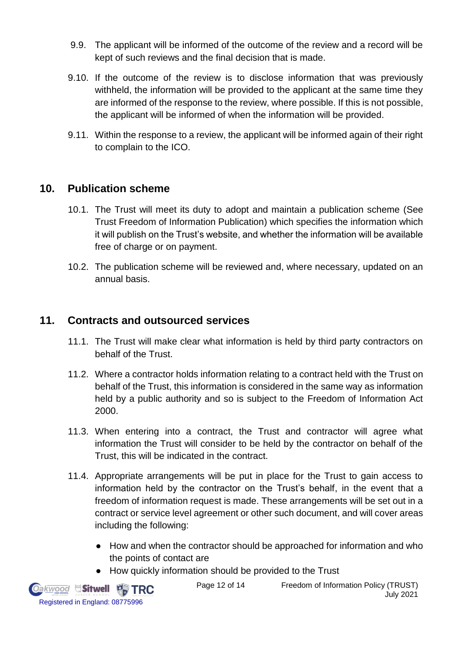- 9.9. The applicant will be informed of the outcome of the review and a record will be kept of such reviews and the final decision that is made.
- 9.10. If the outcome of the review is to disclose information that was previously withheld, the information will be provided to the applicant at the same time they are informed of the response to the review, where possible. If this is not possible, the applicant will be informed of when the information will be provided.
- 9.11. Within the response to a review, the applicant will be informed again of their right to complain to the ICO.

#### **10. Publication scheme**

- 10.1. The Trust will meet its duty to adopt and maintain a publication scheme (See Trust Freedom of Information Publication) which specifies the information which it will publish on the Trust's website, and whether the information will be available free of charge or on payment.
- 10.2. The publication scheme will be reviewed and, where necessary, updated on an annual basis.

#### **11. Contracts and outsourced services**

- 11.1. The Trust will make clear what information is held by third party contractors on behalf of the Trust.
- 11.2. Where a contractor holds information relating to a contract held with the Trust on behalf of the Trust, this information is considered in the same way as information held by a public authority and so is subject to the Freedom of Information Act 2000.
- 11.3. When entering into a contract, the Trust and contractor will agree what information the Trust will consider to be held by the contractor on behalf of the Trust, this will be indicated in the contract.
- 11.4. Appropriate arrangements will be put in place for the Trust to gain access to information held by the contractor on the Trust's behalf, in the event that a freedom of information request is made. These arrangements will be set out in a contract or service level agreement or other such document, and will cover areas including the following:
	- How and when the contractor should be approached for information and who the points of contact are
	- How quickly information should be provided to the Trust



Page 12 of 14 Freedom of Information Policy (TRUST) July 2021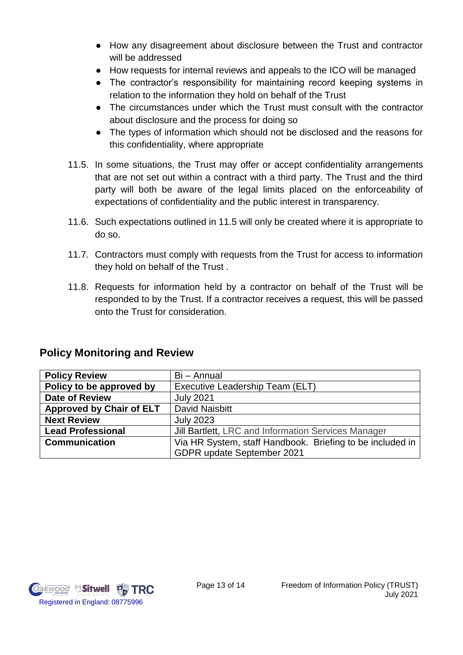- How any disagreement about disclosure between the Trust and contractor will be addressed
- How requests for internal reviews and appeals to the ICO will be managed
- The contractor's responsibility for maintaining record keeping systems in relation to the information they hold on behalf of the Trust
- The circumstances under which the Trust must consult with the contractor about disclosure and the process for doing so
- The types of information which should not be disclosed and the reasons for this confidentiality, where appropriate
- 11.5. In some situations, the Trust may offer or accept confidentiality arrangements that are not set out within a contract with a third party. The Trust and the third party will both be aware of the legal limits placed on the enforceability of expectations of confidentiality and the public interest in transparency.
- 11.6. Such expectations outlined in 11.5 will only be created where it is appropriate to do so.
- 11.7. Contractors must comply with requests from the Trust for access to information they hold on behalf of the Trust .
- 11.8. Requests for information held by a contractor on behalf of the Trust will be responded to by the Trust. If a contractor receives a request, this will be passed onto the Trust for consideration.

| <b>Policy Review</b>            | Bi - Annual                                               |  |  |  |
|---------------------------------|-----------------------------------------------------------|--|--|--|
| Policy to be approved by        | Executive Leadership Team (ELT)                           |  |  |  |
| <b>Date of Review</b>           | <b>July 2021</b>                                          |  |  |  |
| <b>Approved by Chair of ELT</b> | <b>David Naisbitt</b>                                     |  |  |  |
| <b>Next Review</b>              | <b>July 2023</b>                                          |  |  |  |
| <b>Lead Professional</b>        | Jill Bartlett, LRC and Information Services Manager       |  |  |  |
| <b>Communication</b>            | Via HR System, staff Handbook. Briefing to be included in |  |  |  |
|                                 | GDPR update September 2021                                |  |  |  |

## **Policy Monitoring and Review**